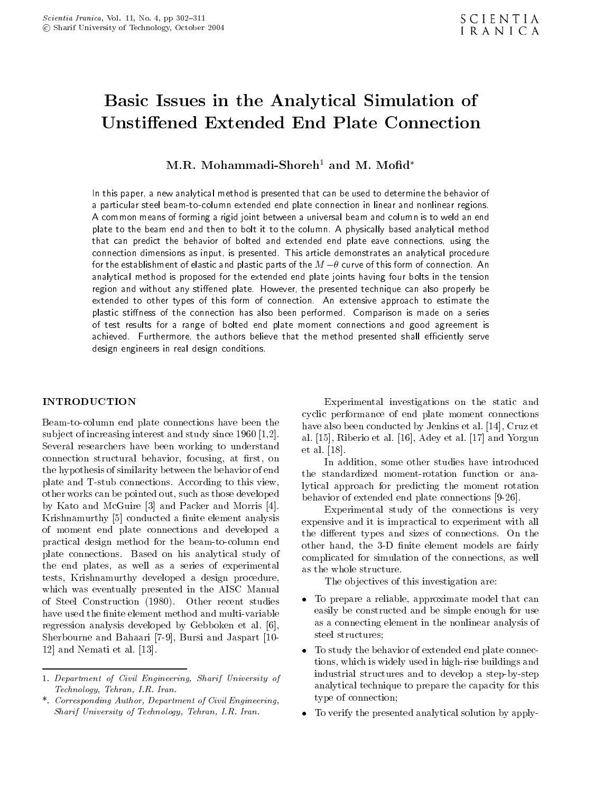# Basic Issues in the Analytical Simulation of Unstiffened Extended End Plate Connection

M.R. Mohammadi-Shoreh<sup>1</sup> and M. Mofid\*

In this paper, a new analytical method is presented that can be used to determine the behavior of <sup>a</sup> particular steel beam-to-column extended end plate connection in linear and nonlinear regions. <sup>A</sup> common means of forming a rigid joint between a universal beam and column is to weld an end plate to the beam end and then to bolt it to the column. A physically based analytical method that can predict the behavior of bolted and extended end plate eave connections, using the connection dimensions as input, is presented. This article demonstrates an analytical procedure for the establishment of elastic and plastic parts of the  $M$   $\theta$  curve of this form of connection. An analytical method is proposed for the extended end plate joints having four bolts in the tension region and without any stiffened plate. However, the presented technique can also properly be extended to other types of this form of connection. An extensive approach to estimate the plastic stiffness of the connection has also been performed. Comparison is made on a series of test results for <sup>a</sup> range of bolted end plate moment connections and good agreement is achieved. Furthermore, the authors believe that the method presented shall efficiently serve design engineers in real design conditions.

# **INTRODUCTION**

Beam-to-column end plate connections have been the subject of increasing interest and study since 1960 [1,2]. Several researchers have been working to understand connection structural behavior, focusing, at first, on the hypothesis of similarity between the behavior of end plate and T-stub connections. According to this view, other works can be pointed out, such as those developed by Kato and McGuire [3] and Packer and Morris [4]. Krishnamurthy [5] conducted a finite element analysis of moment end plate connections and developed <sup>a</sup> practical design method for the beam-to-column end plate connections. Based on his analytical study of the end plates, as well as <sup>a</sup> series of experimental tests, Krishnamurthy developed <sup>a</sup> design procedure, which was eventually presented in the AISC Manual of Steel Construction (1980). Other recent studies have used the finite element method and multi-variable regression analysis developed by Gebboken et al. [6], Sherbourne and Bahaari [7-9], Bursi and Jaspart [10- 12] and Nemati et al. [13].

Experimental investigations on the static and cyclic performance of end plate moment connections have also been conducted by Jenkins et al. [14], Cruz et al. [15], Riberio et al. [16], Adey et al. [17] and Yorgun et al. [18].

In addition, some other studies have introduced the standardized moment-rotation function or analytical approach for predicting the moment rotation behavior of extended end plate connections [9-26].

Experimental study of the connections is very expensive and it is impractical to experiment with all the different types and sizes of connections. On the other hand, the 3-D finite element models are fairly complicated for simulation of the connections, as well as the whole structure.

The objectives of this investigation are:

- To prepare a reliable, approximate model that can easily be constructed and be simple enough for use as a connecting element in the nonlinear analysis of steel structures;
- To study the behavior of extended end plate connections, which is widely used in high-rise buildings and industrial structures and to develop a step-by-step analytical technique to prepare the capacity for this type of connection;
- To verify the presented analytical solution by apply-

<sup>1.</sup> Department of Civil Engineering, Sharif University of Technology, Tehran, I.R. Iran.

<sup>\*.</sup> Corresponding Author, Department of Civil Engineering, Sharif University of Technology, Tehran, I.R. Iran.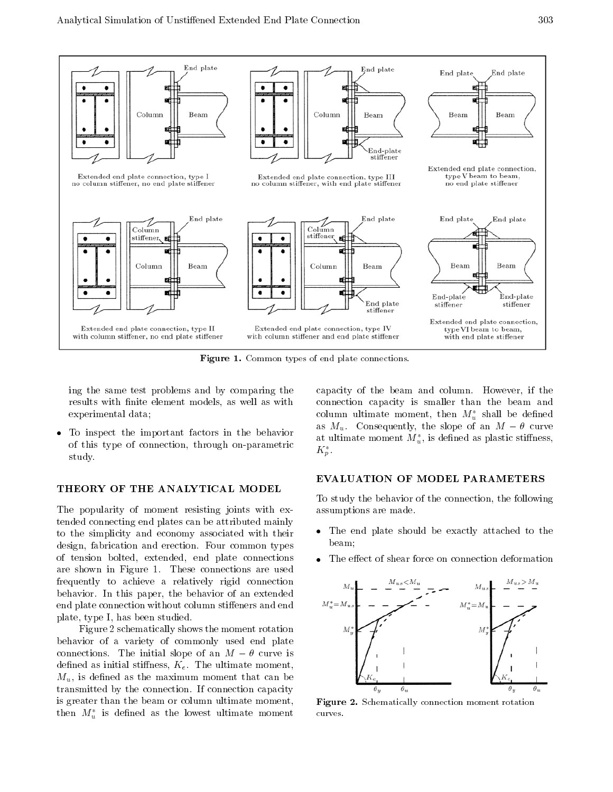

Figure 1. Common types of end plate connections.

ing the same test problems and by comparing the results with finite element models, as well as with experimental data;

 To inspect the important factors in the behavior of this type of connection, through on-parametric study.

# THEORY OF THE ANALYTICAL MODEL

The popularity of moment resisting joints with extended connecting end plates can be attributed mainly to the simplicity and economy associated with their design, fabrication and erection. Four common types of tension bolted, extended, end plate connections are shown in Figure 1. These connections are used frequently to achieve <sup>a</sup> relatively rigid connection behavior. In this paper, the behavior of an extended end plate connection without column stiffeners and end plate, type I, has been studied.

Figure 2 schematically shows the moment rotation behavior of <sup>a</sup> variety of commonly used end plate connections. The initial slope of an  $M$   $\theta$  curve is defined as initial stiffness,  $K_e$ . The ultimate moment,  $M_u$ , is defined as the maximum moment that can be transmitted by the connection. If connection capacity is greater than the beam or column ultimate moment, then  $M_u^*$  is defined as the lowest ultimate moment

capacity of the beam and column. However, if the connection capacity is smaller than the beam and column ultimate moment, then  $M_{\nu}^{*}$  shall be defined as  $M_u$ . Consequently, the slope of an  $M$   $\theta$  curve at ultimate moment  $M_u^*$ , is defined as plastic stiffness,  $\Lambda_p$ .

# EVALUATION OF MODEL PARAMETERS

To study the behavior of the connection, the following assumptions are made.

- The end plate should be exactly attached to the beam;
- The effect of shear force on connection deformation



Figure 2. Schematically connection moment rotation curves.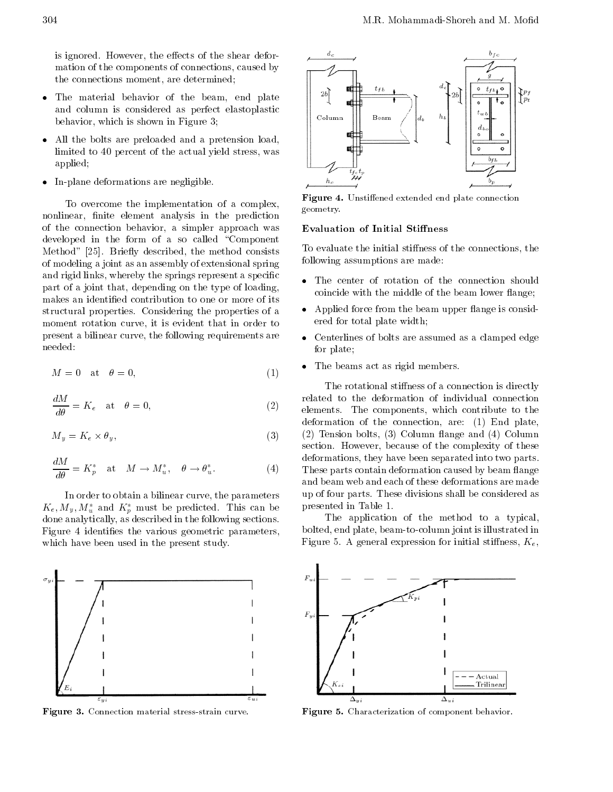is ignored. However, the effects of the shear deformation of the components of connections, caused by the connections moment, are determined;

- The material behavior of the beam, end plate and column is considered as perfect elastoplastic behavior, which is shown in Figure 3;
- All the bolts are preloaded and <sup>a</sup> pretension load, limited to 40 percent of the actual yield stress, was applied;
- In-plane deformations are negligible.

To overcome the implementation of <sup>a</sup> complex, nonlinear, finite element analysis in the prediction of the connection behavior, <sup>a</sup> simpler approach was developed in the form of a so called "Component" Method" [25]. Briefly described, the method consists of modeling a joint as an assembly of extensional spring and rigid links, whereby the springs represent a specific part of a joint that, depending on the type of loading, makes an identied contribution to one or more of its structural properties. Considering the properties of a moment rotation curve, it is evident that in order to present a bilinear curve, the following requirements are needed:

$$
M = 0 \quad \text{at} \quad \theta = 0,\tag{1}
$$

$$
\frac{dM}{d\theta} = K_e \quad \text{at} \quad \theta = 0,
$$
\n(2)

$$
M_y = K_e \times \theta_y,\tag{3}
$$

$$
\frac{dM}{d\theta} = K_p^* \quad \text{at} \quad M \to M_u^*, \quad \theta \to \theta_u^*.
$$
 (4)

In order to obtain a bilinear curve, the parameters  $K_e, M_y, M_u$  and  $K_p$  must be predicted. This can be  $P^{\rm T}$ done analytically, as described in the following sections. Figure 4 identifies the various geometric parameters, which have been used in the present study.



Figure 3. Connection material stress-strain curve.



Figure 4. Unstiffened extended end plate connection geometry.

#### **Evaluation of Initial Stiffness**

To evaluate the initial stiffness of the connections, the following assumptions are made:

- The center of rotation of the connection should coincide with the middle of the beam lower flange;
- Applied force from the beam upper flange is considered for total plate width;
- Centerlines of bolts are assumed as a clamped edge for plate;
- The beams act as rigid members.

The rotational stiffness of a connection is directly related to the deformation of individual connection elements. The components, which contribute to the deformation of the connection, are: (1) End plate, (2) Tension bolts, (3) Column 
ange and (4) Column section. However, because of the complexity of these deformations, they have been separated into two parts. These parts contain deformation caused by beam flange and beam web and each of these deformations are made up of four parts. These divisions shall be considered as presented in Table 1.

The application of the method to <sup>a</sup> typical, bolted, end plate, beam-to-column joint is illustrated in Figure 5. A general expression for initial stiffness,  $K_e$ ,



Figure 5. Characterization of component behavior.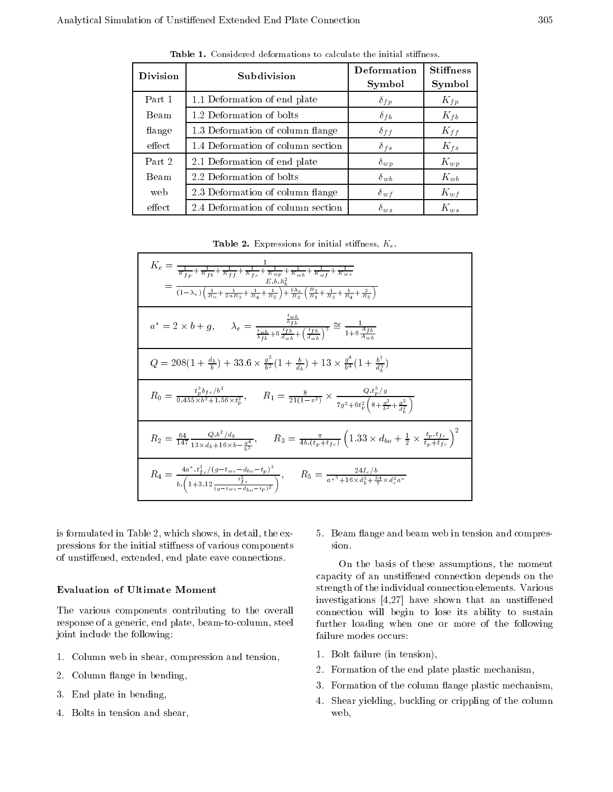| <b>Division</b> | Subdivision                       | Deformation<br>Symbol | <b>Stiffness</b><br>Symbol |
|-----------------|-----------------------------------|-----------------------|----------------------------|
| Part 1          | 1.1 Deformation of end plate      | $\delta_{fp}$         | $K_{fp}$                   |
| <b>Beam</b>     | 1.2 Deformation of bolts          | $\delta_{fb}$         | $K_{fb}$                   |
| flange          | 1.3 Deformation of column flange  | $\delta_{ff}$         | $K_{ff}$                   |
| effect          | 1.4 Deformation of column section | $\delta_{fs}$         | $K_{fs}$                   |
| Part 2          | 2.1 Deformation of end plate      | $\delta_{wp}$         | $K_{wp}$                   |
| Beam            | 2.2 Deformation of bolts          | $\delta_{wb}$         | $K_{wb}$                   |
| web             | 2.3 Deformation of column flange  | $\delta_{wf}$         | $K_{wf}$                   |
| effect          | 2.4 Deformation of column section | $\delta_{ws}$         | $K_{ws}$                   |

Table 1. Considered deformations to calculate the initial stiffness.

Table 2. Expressions for initial stiffness,  $K_e$ .

| $K_e = \frac{1}{\frac{1}{K_{fp}} + \frac{1}{K_{fb}} + \frac{1}{K_{ff}} + \frac{1}{K_{fs}} + \frac{1}{K_{wp}} + \frac{1}{K_{wb}} + \frac{1}{K_{wf}} + \frac{1}{K_{ws}}}$<br>E.b.h <sub>b</sub> <sup>2</sup><br>$=\frac{1}{(1-\lambda_e)\left(\frac{1}{R_0}+\frac{1}{2nR_3}+\frac{1}{R_4}+\frac{1}{R_5}\right)+\frac{6\lambda_e}{R_2}\left(\frac{R_2}{R_1}+\frac{1}{R_3}+\frac{1}{R_4}+\frac{2}{R_5}\right)}$ |
|-------------------------------------------------------------------------------------------------------------------------------------------------------------------------------------------------------------------------------------------------------------------------------------------------------------------------------------------------------------------------------------------------------------|
| $a^* = 2 \times b + g,$ $\lambda_e = \frac{\frac{b^2 g}{b^2 f}}{\frac{t_{w} b}{b^2 f} + 6 \frac{f}{d^2 f} + (\frac{f b}{d^2 f})^3} \approx \frac{1}{1 + 6 \frac{A f b}{A_{m} f}}$                                                                                                                                                                                                                           |
| $Q = 208(1 + \frac{d_b}{b}) + 33.6 \times \frac{g^2}{b^2}(1 + \frac{b}{d_b}) + 13 \times \frac{g^4}{b^4}(1 + \frac{b^3}{d^3})$                                                                                                                                                                                                                                                                              |
| $R_0 = \frac{t_p^3 b_{fc}/b^2}{0.455 \times b^2 + 1.56 \times t_p^2}, \qquad R_1 = \frac{8}{21(1-v^2)} \times \frac{Q \cdot t_p^{\nu}/g}{7g^2 + 6t_p^2 \left(8 + \frac{g^2}{b^2} + \frac{g^2}{d^2}\right)}$                                                                                                                                                                                                 |
| $R_2 = \frac{64}{147} \frac{Q.b^2/d_b}{13 \times d_b + 16 \times b \frac{q^4}{73}}, \qquad R_3 = \frac{\pi}{4b.(t_p + t_{fc})} \left(1.33 \times d_{bo} + \frac{1}{2} \times \frac{t_p.t_{fc}}{t_p + t_{fc}}\right)^2$                                                                                                                                                                                      |
| $R_4 = \frac{4a^* \cdot t_{fc}^2/(g t_{wc} d_{bo} t_p)^3}{b \cdot \left(1+3.12 \frac{t^2}{(g t_{wc} d_{bo} t_p)^2}\right)}, \qquad R_5 = \frac{24I_c/b}{a^{*3}+16 \times d_b^3 + \frac{24}{7} \times d_c^2 a^*}$                                                                                                                                                                                            |

is formulated in Table 2, which shows, in detail, the expressions for the initial stiffness of various components of unstiffened, extended, end plate eave connections.

# Evaluation of Ultimate Moment

The various components contributing to the overall response of a generic, end plate, beam-to-column, steel joint include the following:

- 1. Column web in shear, compression and tension,
- 2. Column 
ange in bending,
- 3. End plate in bending,
- 4. Bolts in tension and shear,

5. Beam flange and beam web in tension and compression.

On the basis of these assumptions, the moment capacity of an unstiffened connection depends on the strength of the individual connection elements. Various investigations  $[4,27]$  have shown that an unstiffened connection will begin to lose its ability to sustain further loading when one or more of the following failure modes occurs:

- 1. Bolt failure (in tension),
- 2. Formation of the end plate plastic mechanism,
- 3. Formation of the column flange plastic mechanism,
- 4. Shear yielding, buckling or crippling of the column web,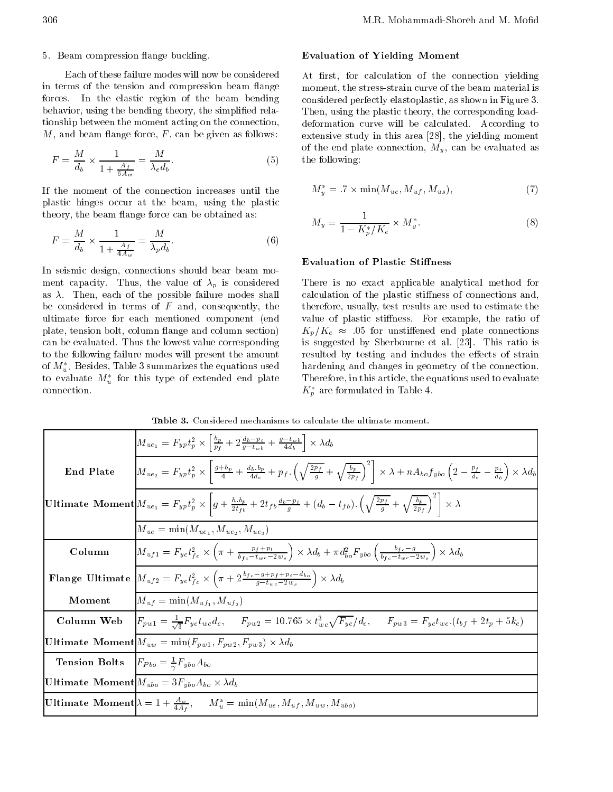# 5. Beam compression flange buckling.

Each of these failure modes will now be considered in terms of the tension and compression beam flange forces. In the elastic region of the beam bending behavior, using the bending theory, the simplified relationship between the moment acting on the connection,  $M$ , and beam flange force,  $F$ , can be given as follows:

$$
F = \frac{M}{d_b} \times \frac{1}{1 + \frac{A_f}{6A_w}} = \frac{M}{\lambda_e d_b}.
$$
 (5) d

If the moment of the connection increases until the plastic hinges occur at the beam, using the plastic theory, the beam flange force can be obtained as:

$$
F = \frac{M}{d_b} \times \frac{1}{1 + \frac{A_f}{4A_w}} = \frac{M}{\lambda_p d_b}.
$$
 (6)

In seismic design, connections should bear beam moment capacity. Thus, the value of  $\lambda_p$  is considered as  $\lambda$ . Then, each of the possible failure modes shall be considered in terms of  $F$  and, consequently, the ultimate force for each mentioned component (end plate, tension bolt, column 
ange and column section) can be evaluated. Thus the lowest value corresponding to the following failure modes will present the amount of  $M_u^*$ . Besides, Table 3 summarizes the equations used to evaluate  $M_u^*$  for this type of extended end plate connection.

# Evaluation of Yielding Moment

At first, for calculation of the connection yielding moment, the stress-strain curve of the beam material is considered perfectly elastoplastic, as shown in Figure 3. Then, using the plastic theory, the corresponding loaddeformation curve will be calculated. According to extensive study in this area [28], the yielding moment of the end plate connection,  $M_y$ , can be evaluated as the following:

$$
M_y^* = .7 \times \min(M_{ue}, M_{uf}, M_{us}), \tag{7}
$$

$$
M_y = \frac{1}{1 - K_p^* / K_e} \times M_y^*.
$$
 (8)

# **Evaluation of Plastic Stiffness**

There is no exact applicable analytical method for calculation of the plastic stiffness of connections and, therefore, usually, test results are used to estimate the value of plastic stiffness. For example, the ratio of  $K_p/K_e \approx .05$  for unstiffened end plate connections is suggested by Sherbourne et al. [23]. This ratio is resulted by testing and includes the effects of strain hardening and changes in geometry of the connection. Therefore, in this article, the equations used to evaluate  $K_{p}$  are formulated in Table 4.

|                                                                  | $M_{ue_1} = F_{yp}t_p^2 \times \left[\frac{b_p}{p_f} + 2\frac{d_b - p_t}{q - t_{wh}} + \frac{g - t_{wb}}{4d_b}\right] \times \lambda d_b$                                                                                                                      |
|------------------------------------------------------------------|----------------------------------------------------------------------------------------------------------------------------------------------------------------------------------------------------------------------------------------------------------------|
| End Plate                                                        | $M_{ue_2} = F_{yp}t_p^2 \times \left[\frac{g+b_p}{4} + \frac{d_b.b_p}{4d_e} + p_f \left(\sqrt{\frac{2p_f}{g}} + \sqrt{\frac{b_p}{2p_f}}\right)^2\right] \times \lambda + nA_{bo}f_{ybo} \left(2 - \frac{p_f}{d_e} - \frac{p_t}{d_b}\right) \times \lambda d_b$ |
|                                                                  | $\boxed{\text{Ultimate Moment}\Big M_{ue_3}=F_{yp}t_p^2\times\left g+\frac{h.b_p}{2t_{fb}}+2t_{fb}\frac{d_b-p_t}{g}+(d_b-t_{fb}).\left(\sqrt{\frac{2p_f}{g}}+\sqrt{\frac{b_p}{2p_f}}\right)^2\right \times\lambda\Big }$                                       |
|                                                                  | $M_{ue} = \min(M_{ue_1}, M_{ue_2}, M_{ue_3})$                                                                                                                                                                                                                  |
| Column                                                           | $\left M_{uf1} = F_{yc}t_{fc}^2 \times \left(\pi + \frac{p_f+p_t}{b_{fc} - t_{wc} - 2w_s}\right) \times \lambda d_b + \pi d_{bo}^2 F_{ybo}\left(\frac{b_{fc} - g}{b_{fc} - t_{wc} - 2w_s}\right) \times \lambda d_b\right)$                                    |
|                                                                  | <b>Flange Ultimate</b> $M_{uf2} = F_{yc}t_{fc}^2 \times \left(\pi + 2\frac{b_{fc} - g + p_f + p_t - d_{bo}}{g - t_{wc} - 2w_s}\right) \times \lambda d_b$                                                                                                      |
| Moment                                                           | $M_{uf} = \min(M_{uf_1}, M_{uf_2})$                                                                                                                                                                                                                            |
|                                                                  | <b>Column Web</b> $F_{pw1} = \frac{1}{\sqrt{3}} F_{yc} t_{wc} d_c$ , $F_{pw2} = 10.765 \times t_{wc}^3 \sqrt{F_{yc}}/d_c$ , $F_{pw3} = F_{yc} t_{wc} (t_{bf} + 2t_p + 5k_c)$                                                                                   |
|                                                                  | Ultimate Moment $ M_{uw} = min(F_{pw1}, F_{pw2}, F_{pw3}) \times \lambda d_b$                                                                                                                                                                                  |
| <b>Tension Bolts</b> $F_{Pbo} = \frac{1}{\gamma} F_{ybo} A_{bo}$ |                                                                                                                                                                                                                                                                |
|                                                                  | Ultimate Moment $M_{ubo} = 3F_{ybo}A_{bo} \times \lambda d_b$                                                                                                                                                                                                  |
|                                                                  | Ultimate Moment $\lambda = 1 + \frac{A_w}{4A_f}$ , $M_u^* = \min(M_{ue}, M_{uf}, M_{uw}, M_{ubo})$                                                                                                                                                             |

| <b>Table 3.</b> Considered mechanisms to calculate the ultimate moment. |
|-------------------------------------------------------------------------|
|-------------------------------------------------------------------------|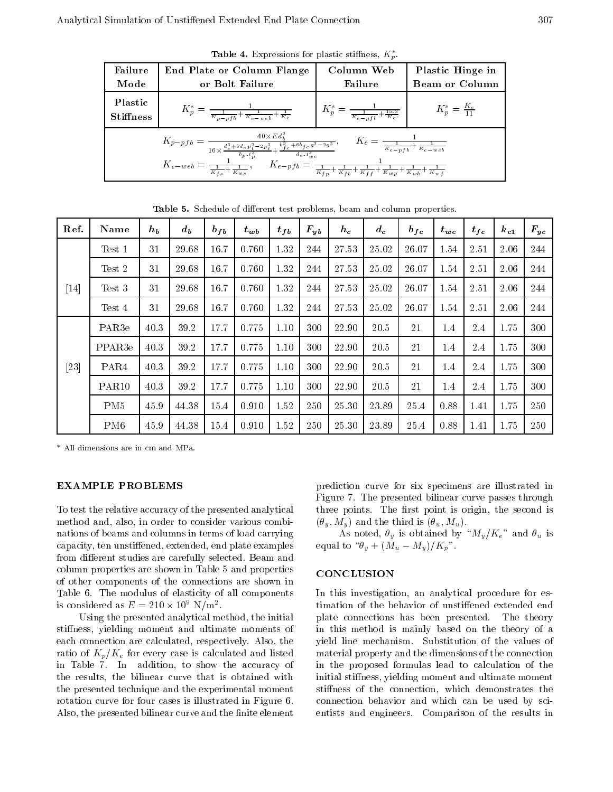**Table 4.** Expressions for plastic stiffness,  $K_p$ .

| Failure                     | End Plate or Column Flange                                                                                                                                                                                                                                | Column Web                                                 | Plastic Hinge in         |
|-----------------------------|-----------------------------------------------------------------------------------------------------------------------------------------------------------------------------------------------------------------------------------------------------------|------------------------------------------------------------|--------------------------|
| Mode                        | or Bolt Failure                                                                                                                                                                                                                                           | Failure                                                    | <b>Beam or Column</b>    |
| Plastic<br><b>Stiffness</b> | $K_p^* = \frac{1}{\frac{K_p - pfb}{K_e} + \frac{1}{K_e} \frac{1}{\left w_e b\right } + \frac{1}{K_e}}$                                                                                                                                                    | $K_p^* = \frac{1}{\frac{1}{K_e - pfb} + \frac{15.3}{K_e}}$ | $K_p^* = \frac{K_e}{11}$ |
|                             | $K_{p \quad pf \, b} = \frac{40 \times Ed_b^2}{16 \times \frac{d_e^3 + 6de_p^2 - 2p_f^3}{b_p \cdot t_p^3} + \frac{b_f^3 e + 6b_f e \cdot g^2 - 2g^3}{d_e \cdot t_{wc}^3}}, \quad \  \  K_e = \frac{1}{\frac{1}{K_e - p \, fb} + \frac{1}{K_e - w \, eb}}$ |                                                            |                          |
|                             | $K_{e\ \text{web}} = \frac{1}{\frac{1}{K_{fs}} + \frac{1}{K_{ws}}}, \qquad K_{e\ \text{pfb}} = \frac{1}{\frac{1}{K_{fp}} + \frac{1}{K_{fb}} + \frac{1}{K_{ff}} + \frac{1}{K_{wp}} + \frac{1}{K_{wb}} + \frac{1}{K_{wf}}}$                                 |                                                            |                          |

| Ref.   | <b>Name</b>        | $h_b$ | $d_b$ | $b_{fb}$ | $t_{wb}$ | $t_{fb}$ | $\bm{F_{yb}}$ | $h_c$ | $d_c$ | $b_{fc}$ | $t_{wc}$ | $t_{fc}$ | $k_{c1}$ | $F_{yc}$ |
|--------|--------------------|-------|-------|----------|----------|----------|---------------|-------|-------|----------|----------|----------|----------|----------|
|        | Test 1             | 31    | 29.68 | 16.7     | 0.760    | 1.32     | 244           | 27.53 | 25.02 | 26.07    | 1.54     | 2.51     | 2.06     | 244      |
|        | Test 2             | 31    | 29.68 | 16.7     | 0.760    | 1.32     | 244           | 27.53 | 25.02 | 26.07    | 1.54     | 2.51     | 2.06     | 244      |
| $[14]$ | Test 3             | 31    | 29.68 | 16.7     | 0.760    | 1.32     | 244           | 27.53 | 25.02 | 26.07    | 1.54     | 2.51     | 2.06     | 244      |
|        | Test 4             | 31    | 29.68 | 16.7     | 0.760    | 1.32     | 244           | 27.53 | 25.02 | 26.07    | 1.54     | 2.51     | 2.06     | 244      |
|        | PAR <sub>3e</sub>  | 40.3  | 39.2  | 17.7     | 0.775    | 1.10     | 300           | 22.90 | 20.5  | -21      | 1.4      | 2.4      | 1.75     | 300      |
|        | PPAR <sub>3e</sub> | 40.3  | 39.2  | 17.7     | 0.775    | 1.10     | 300           | 22.90 | 20.5  | 21       | 1.4      | 2.4      | 1.75     | 300      |
| $[23]$ | PAR4               | 40.3  | 39.2  | 17.7     | 0.775    | 1.10     | 300           | 22.90 | 20.5  | 21       | 1.4      | 2.4      | 1.75     | 300      |
|        | PAR <sub>10</sub>  | 40.3  | 39.2  | 17.7     | 0.775    | 1.10     | 300           | 22.90 | 20.5  | 21       | 1.4      | 2.4      | 1.75     | 300      |
|        | PM <sub>5</sub>    | 45.9  | 44.38 | 15.4     | 0.910    | 1.52     | 250           | 25.30 | 23.89 | 25.4     | 0.88     | 1.41     | 1.75     | 250      |
|        | PM <sub>6</sub>    | 45.9  | 44.38 | 15.4     | 0.910    | 1.52     | 250           | 25.30 | 23.89 | 25.4     | 0.88     | 1.41     | 1.75     | 250      |

Table 5. Schedule of different test problems, beam and column properties.

\* All dimensions are in cm and MPa.

# **EXAMPLE PROBLEMS**

To test the relative accuracy of the presented analytical method and, also, in order to consider various combinations of beams and columns in terms of load carrying capacity, ten unstiffened, extended, end plate examples from different studies are carefully selected. Beam and column properties are shown in Table 5 and properties of other components of the connections are shown in Table 6.The modulus of elasticity of all components is considered as  $E = 210 \times 10^7$  N/m.

Using the presented analytical method, the initial stiness, yielding moment and ultimate moments of each connection are calculated, respectively. Also, the ratio of  $K_p/K_e$  for every case is calculated and listed in Table 7. In addition, to show the accuracy of the results, the bilinear curve that is obtained with the presented technique and the experimental moment rotation curve for four cases is illustrated in Figure 6. Also, the presented bilinear curve and the finite element

prediction curve for six specimens are illustrated in Figure 7. The presented bilinear curve passes through three points. The first point is origin, the second is  $(\theta_y, M_y)$  and the third is  $(\theta_u, M_u)$ .

As noted,  $\theta_y$  is obtained by " $M_y/K_e$ " and  $\theta_u$  is equal to " $\theta_y + (M_u - M_y)/K_p$ ".

### **CONCLUSION**

In this investigation, an analytical procedure for estimation of the behavior of unstiffened extended end plate connections has been presented. The theory in this method is mainly based on the theory of <sup>a</sup> yield line mechanism. Substitution of the values of material property and the dimensions of the connection in the proposed formulas lead to calculation of the initial stiffness, yielding moment and ultimate moment stiffness of the connection, which demonstrates the connection behavior and which can be used by scientists and engineers. Comparison of the results in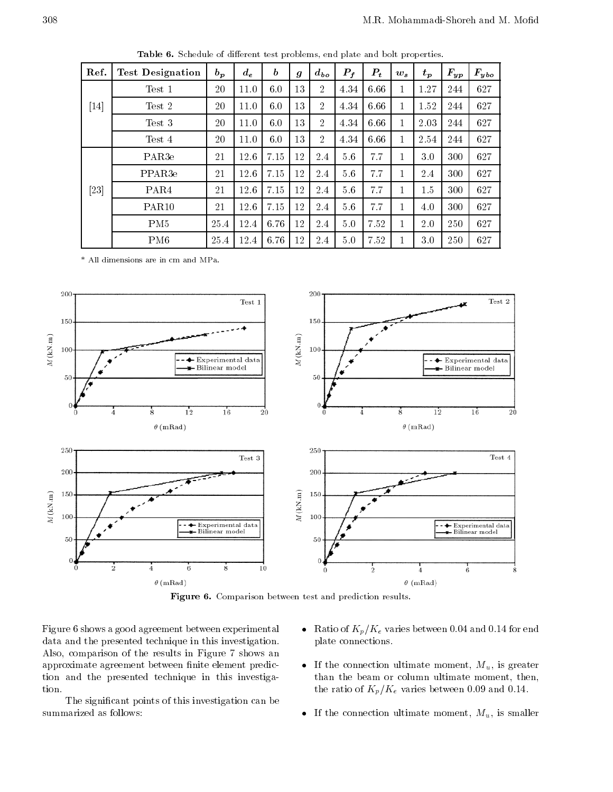| Ref. | <b>Test Designation</b> | $b_p$ | $d_e$ | $\boldsymbol{b}$ | $\boldsymbol{g}$ | $d_{bo}$       | $P_f$ | $P_t$ | $w_{s}$      | $t_p$ | $F_{yp}$ | $F_{ybo}$ |
|------|-------------------------|-------|-------|------------------|------------------|----------------|-------|-------|--------------|-------|----------|-----------|
|      | Test 1                  | 20    | 11.0  | 6.0              | 13               | $\overline{2}$ | 4.34  | 6.66  | $\mathbf{1}$ | 1.27  | 244      | 627       |
| [14] | Test 2                  | 20    | 11.0  | 6.0              | 13               | 2              | 4.34  | 6.66  | 1            | 1.52  | 244      | 627       |
|      | Test 3                  | 20    | 11.0  | 6.0              | 13               | $\overline{2}$ | 4.34  | 6.66  | $\mathbf{1}$ | 2.03  | 244      | 627       |
|      | Test 4                  | 20    | 11.0  | 6.0              | 13               | $\overline{2}$ | 4.34  | 6.66  | 1            | 2.54  | 244      | 627       |
|      | PAR <sub>3e</sub>       | 21    | 12.6  | 7.15             | 12               | 2.4            | 5.6   | 7.7   |              | 3.0   | 300      | 627       |
|      | PPAR <sub>3e</sub>      | 21    | 12.6  | 7.15             | 12               | 2.4            | 5.6   | 7.7   | 1            | 2.4   | 300      | 627       |
| [23] | PAR <sub>4</sub>        | 21    | 12.6  | 7.15             | 12               | 2.4            | 5.6   | 7.7   |              | 1.5   | 300      | 627       |
|      | <b>PAR10</b>            | 21    | 12.6  | 7.15             | 12               | 2.4            | 5.6   | 7.7   | 1            | 4.0   | 300      | 627       |
|      | PM <sub>5</sub>         | 25.4  | 12.4  | 6.76             | 12               | 2.4            | 5.0   | 7.52  | 1            | 2.0   | 250      | 627       |
|      | PM <sub>6</sub>         | 25.4  | 12.4  | 6.76             | 12               | 2.4            | 5.0   | 7.52  |              | 3.0   | 250      | 627       |

Table 6. Schedule of different test problems, end plate and bolt properties.

\* All dimensions are in cm and MPa.



Figure 6. Comparison between test and prediction results.

Figure 6 shows a good agreement between experimental data and the presented technique in this investigation. Also, comparison of the results in Figure <sup>7</sup> shows an approximate agreement between finite element prediction and the presented technique in this investigation.

The signicant points of this investigation can be summarized as follows:

- Ratio of  $K_p/K_e$  varies between 0.04 and 0.14 for end plate connections.
- If the connection ultimate moment,  $M_u$ , is greater than the beam or column ultimate moment, then, the ratio of  $K_p/K_e$  varies between 0.09 and 0.14.
- If the connection ultimate moment,  $M_u$ , is smaller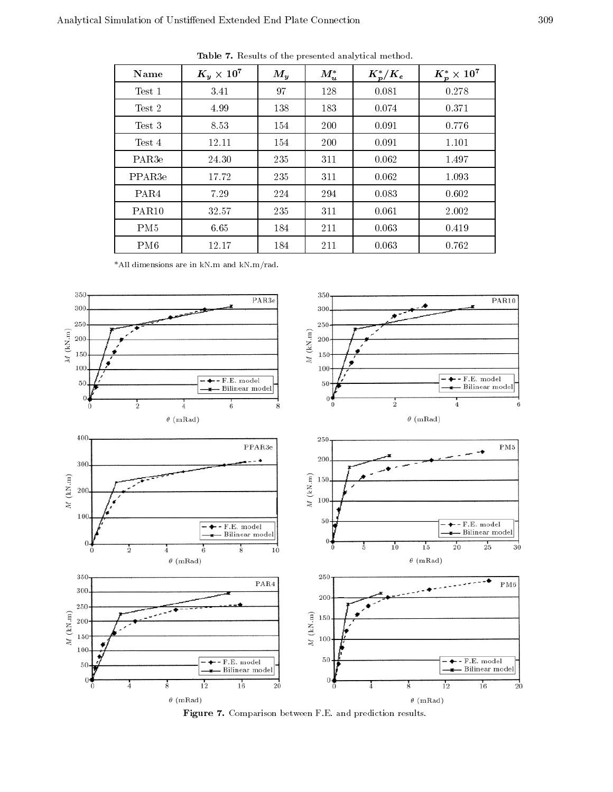| Name               | $K_y \times 10^7$ | $M_{y}$ | $M_u^*$ | $K_p^*/K_e$ | $K_p^* \times 10^7$ |
|--------------------|-------------------|---------|---------|-------------|---------------------|
| Test 1             | 3.41              | 97      | 128     | 0.081       | 0.278               |
| Test 2             | 4.99              | 138     | 183     | 0.074       | 0.371               |
| Test 3             | 8.53              | 154     | 200     | 0.091       | 0.776               |
| Test 4             | 12.11             | 154     | 200     | 0.091       | 1.101               |
| PAR <sub>3e</sub>  | 24.30             | 235     | 311     | 0.062       | 1.497               |
| PPAR <sub>3e</sub> | 17.72             | 235     | 311     | 0.062       | 1.093               |
| PAR <sub>4</sub>   | 7.29              | 224     | 294     | 0.083       | 0.602               |
| PAR <sub>10</sub>  | 32.57             | 235     | 311     | 0.061       | 2.002               |
| PM <sub>5</sub>    | 6.65              | 184     | 211     | 0.063       | 0.419               |
| PM <sub>6</sub>    | 12.17             | 184     | 211     | 0.063       | 0.762               |

Table 7. Results of the presented analytical method.

\*All dimensions are in kN.m and kN.m/rad.



Figure 7. Comparison between F.E. and prediction results.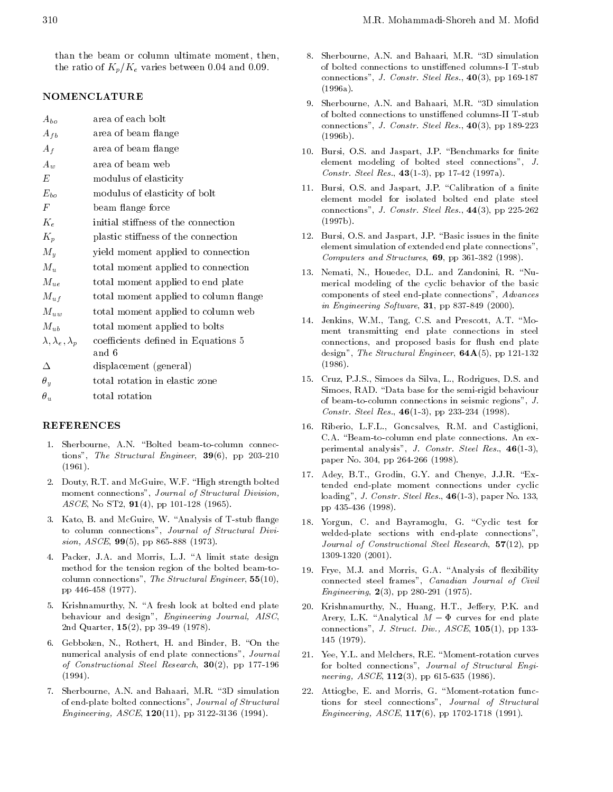than the beam or column ultimate moment, then, the ratio of  $K_p/K_e$  varies between 0.04 and 0.09.

# NOMENCLATURE

| $A_{bo}$                        | area of each bolt                     |
|---------------------------------|---------------------------------------|
| $A_{fb}$                        | area of beam flange                   |
| $A_f$                           | area of beam flange                   |
| $A_{w}$                         | area of beam web                      |
| E                               | modulus of elasticity                 |
| $E_{bo}$                        | modulus of elasticity of bolt         |
| $\,F$                           | beam flange force                     |
| $K_e$                           | initial stiffness of the connection   |
| $K_p$                           | plastic stiffness of the connection   |
| $M_y$                           | yield moment applied to connection    |
| $M_u$                           | total moment applied to connection    |
| $M_{ue}$                        | total moment applied to end plate     |
| $M_{uf}$                        | total moment applied to column flange |
| $M_{uw}$                        | total moment applied to column web    |
| $M_{ub}$                        | total moment applied to bolts         |
| $\lambda, \lambda_e, \lambda_p$ | coefficients defined in Equations 5   |
|                                 | and 6                                 |
| Δ                               | displacement (general)                |
| $\theta_y$                      | total rotation in elastic zone        |
| $\theta_u$                      | total rotation                        |

- 1. Sherbourne, A.N. "Bolted beam-to-column connections", The Structural Engineer,  $39(6)$ , pp 203-210 (1961).
- 2. Douty, R.T. and McGuire, W.F. "High strength bolted moment connections", Journal of Structural Division, ASCE, No ST2,  $91(4)$ , pp 101-128 (1965).
- 3. Kato, B. and McGuire, W. "Analysis of T-stub flange to column connections", Journal of Structural Division,  $ASCE$ , **99**(5), pp 865-888 (1973).
- 4. Packer, J.A. and Morris, L.J. "A limit state design method for the tension region of the bolted beam-tocolumn connections", The Structural Engineer,  $55(10)$ , pp 446-458 (1977).
- 5. Krishnamurthy, N. "A fresh look at bolted end plate behaviour and design", Engineering Journal, AISC, 2nd Quarter, 15(2), pp 39-49 (1978).
- 6. Gebboken, N., Rothert, H. and Binder, B. "On the numerical analysis of end plate connections", Journal of Constructional Steel Research,  $30(2)$ , pp 177-196 (1994).
- 7. Sherbourne, A.N. and Bahaari, M.R. \3D simulation of end-plate bolted connections", Journal of Structural Engineering, ASCE, 120(11), pp 3122-3136 (1994).
- 8. Sherbourne, A.N. and Bahaari, M.R. "3D simulation of bolted connections to unstiffened columns-I T-stub connections", J. Constr. Steel Res.,  $40(3)$ , pp 169-187 (1996a).
- 9. Sherbourne, A.N. and Bahaari, M.R. "3D simulation of bolted connections to unstiffened columns-II T-stub connections", J. Constr. Steel Res.,  $40(3)$ , pp 189-223 (1996b).
- 10. Bursi, O.S. and Jaspart, J.P. "Benchmarks for finite element modeling of bolted steel connections", J. Constr. Steel Res.,  $43(1-3)$ , pp 17-42 (1997a).
- 11. Bursi, O.S. and Jaspart, J.P. "Calibration of a finite element model for isolated bolted end plate steel connections", J. Constr. Steel Res.,  $44(3)$ , pp 225-262 (1997b).
- 12. Bursi, O.S. and Jaspart, J.P. "Basic issues in the finite element simulation of extended end plate connections", Computers and Structures, 69, pp 361-382 (1998).
- 13. Nemati, N., Houedec, D.L. and Zandonini, R. "Numerical modeling of the cyclic behavior of the basic components of steel end-plate connections", Advances in Engineering Software, 31, pp 837-849 (2000).
- 14. Jenkins, W.M., Tang, C.S. and Prescott, A.T. "Moment transmitting end plate connections in steel connections, and proposed basis for flush end plate design", The Structural Engineer,  $64A(5)$ , pp 121-132 (1986).
- 15. Cruz, P.J.S., Simoes da Silva, L., Rodrigues, D.S. and Simoes, RAD. "Data base for the semi-rigid behaviour of beam-to-column connections in seismic regions", J. Constr. Steel Res., 46(1-3), pp 233-234 (1998).
- 16. Riberio, L.F.L., Goncsalves, R.M. and Castiglioni, C.A. "Beam-to-column end plate connections. An experimental analysis", J. Constr. Steel Res., 46(1-3), paper No. 304, pp 264-266 (1998).
- 17. Adey, B.T., Grodin, G.Y. and Chenye, J.J.R. "Extended end-plate moment connections under cyclic loading", J. Constr. Steel Res.,  $46(1-3)$ , paper No. 133, pp 435-436 (1998).
- 18. Yorgun, C. and Bayramoglu, G. "Cyclic test for welded-plate sections with end-plate connections", Journal of Constructional Steel Research, 57(12), pp 1309-1320 (2001).
- 19. Frye, M.J. and Morris, G.A. "Analysis of flexibility connected steel frames", Canadian Journal of Civil Engineering,  $2(3)$ , pp 280-291 (1975).
- 20. Krishnamurthy, N., Huang, H.T., Jeffery, P.K. and Arery, L.K. "Analytical  $M$   $\Phi$  curves for end plate connections", J. Struct. Div.,  $ASCE$ , 105(1), pp 133-<sup>145</sup> (1979).
- 21. Yee, Y.L. and Melchers, R.E. \Moment-rotation curves for bolted connections", Journal of Structural Engi neering,  $ASCE$ ,  $112(3)$ , pp 615-635 (1986).
- 22. Attiogbe, E. and Morris, G. "Moment-rotation functions for steel connections", Journal of Structural Engineering, ASCE, 117(6), pp 1702-1718 (1991).